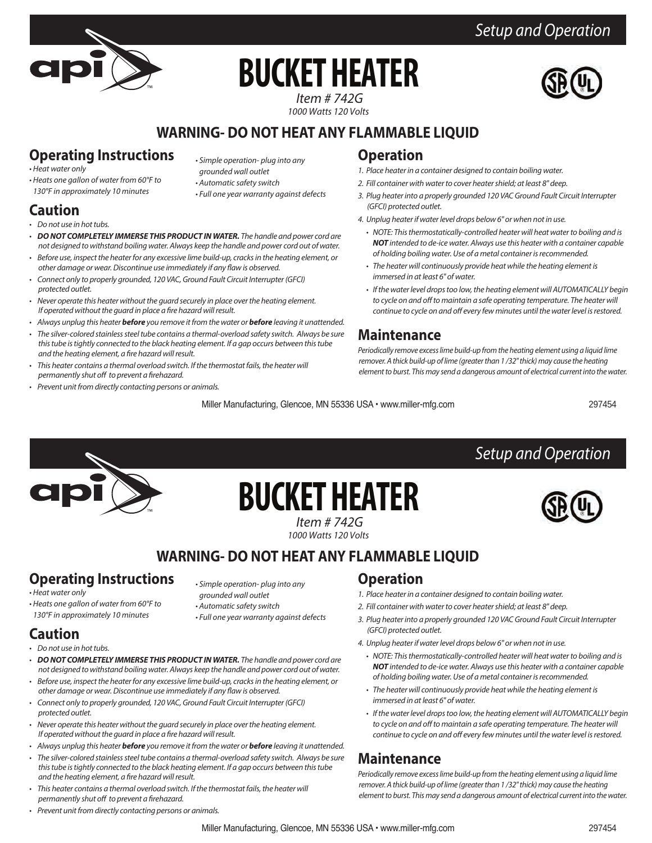# **BUCKET HEATER**

*Setup and Operation*



 *Item # 742G 1000 Watts 120 Volts*

#### **WARNING- DO NOT HEAT ANY FLAMMABLE LIQUID**

#### **Operating Instructions**

*• Heat water only*

- *Heats one gallon of water from 60°F to 130°F in approximately 10 minutes*
- *Simple operation- plug into any grounded wall outlet*
- *Automatic safety switch*
- *Full one year warranty against defects*

#### **Caution**

- *Do not use in hot tubs.*
- *DO NOT COMPLETELY IMMERSE THIS PRODUCT IN WATER. The handle and power cord are not designed to withstand boiling water. Always keep the handle and power cord out of water.*
- *Before use, inspect the heater for any excessive lime build-up, cracks in the heating element, or*  other damage or wear. Discontinue use immediately if any flaw is observed.
- *Connect only to properly grounded, 120 VAC, Ground Fault Circuit Interrupter (GFCI) protected outlet.*
- *Never operate this heater without the guard securely in place over the heating element.*  If operated without the guard in place a fire hazard will result.
- *Always unplug this heater before you remove it from the water or before leaving it unattended.*
- *The silver-colored stainless steel tube contains a thermal-overload safety switch. Always be sure this tube is tightly connected to the black heating element. If a gap occurs between this tube and the heating element, a fire hazard will result.*
- *This heater contains a thermal overload switch. If the thermostat fails, the heater will permanently shut off to prevent a firehazard.*
- *Prevent unit from directly contacting persons or animals.*

#### **Operation**

- *1. Place heater in a container designed to contain boiling water.*
- *2. Fill container with water to cover heater shield; at least 8" deep.*
- *3. Plug heater into a properly grounded 120 VAC Ground Fault Circuit Interrupter (GFCI) protected outlet.*
- *4. Unplug heater if water level drops below 6" or when not in use.*
	- *NOTE: This thermostatically-controlled heater will heat water to boiling and is NOT intended to de-ice water. Always use this heater with a container capable of holding boiling water. Use of a metal container is recommended.*
	- *The heater will continuously provide heat while the heating element is immersed in at least 6" of water.*
	- *If the water level drops too low, the heating element will AUTOMATICALLY begin* to cycle on and off to maintain a safe operating temperature. The heater will *continue to cycle on and off every few minutes until the water level is restored.*

#### **Maintenance**

*Periodically remove excess lime build-up from the heating element using a liquid lime remover. A thick build-up of lime (greater than 1 /32" thick) may cause the heating element to burst. This may send a dangerous amount of electrical current into the water.*

*Setup and Operation*

Miller Manufacturing, Glencoe, MN 55336 USA • www.miller-mfg.com

297454



## *Item # 742G* **BUCKET HEATER**

*1000 Watts 120 Volts*

#### **WARNING- DO NOT HEAT ANY FLAMMABLE LIQUID**

### **Operating Instructions**

*• Heats one gallon of water from 60°F to 130°F in approximately 10 minutes*

*• Heat water only*

- *Simple operation- plug into any grounded wall outlet*
- *Automatic safety switch*
- *Full one year warranty against defects*

#### **Caution**

- *Do not use in hot tubs.*
- *DO NOT COMPLETELY IMMERSE THIS PRODUCT IN WATER. The handle and power cord are not designed to withstand boiling water. Always keep the handle and power cord out of water.*
- *Before use, inspect the heater for any excessive lime build-up, cracks in the heating element, or*  other damage or wear. Discontinue use immediately if any flaw is observed.
- *Connect only to properly grounded, 120 VAC, Ground Fault Circuit Interrupter (GFCI) protected outlet.*
- *Never operate this heater without the guard securely in place over the heating element.*  If operated without the guard in place a fire hazard will result.
- *Always unplug this heater before you remove it from the water or before leaving it unattended.*
- *The silver-colored stainless steel tube contains a thermal-overload safety switch. Always be sure this tube is tightly connected to the black heating element. If a gap occurs between this tube and the heating element, a fire hazard will result.*
- *This heater contains a thermal overload switch. If the thermostat fails, the heater will permanently shut off to prevent a firehazard.*
- *Prevent unit from directly contacting persons or animals.*

#### **Operation**

- *1. Place heater in a container designed to contain boiling water.*
- *2. Fill container with water to cover heater shield; at least 8" deep.*
- *3. Plug heater into a properly grounded 120 VAC Ground Fault Circuit Interrupter (GFCI) protected outlet.*
- *4. Unplug heater if water level drops below 6" or when not in use.*
- *NOTE: This thermostatically-controlled heater will heat water to boiling and is NOT intended to de-ice water. Always use this heater with a container capable of holding boiling water. Use of a metal container is recommended.*
- *The heater will continuously provide heat while the heating element is immersed in at least 6" of water.*
- *If the water level drops too low, the heating element will AUTOMATICALLY begin* to cycle on and off to maintain a safe operating temperature. The heater will continue to cycle on and off every few minutes until the water level is restored.

#### **Maintenance**

*Periodically remove excess lime build-up from the heating element using a liquid lime remover. A thick build-up of lime (greater than 1 /32" thick) may cause the heating element to burst. This may send a dangerous amount of electrical current into the water.*